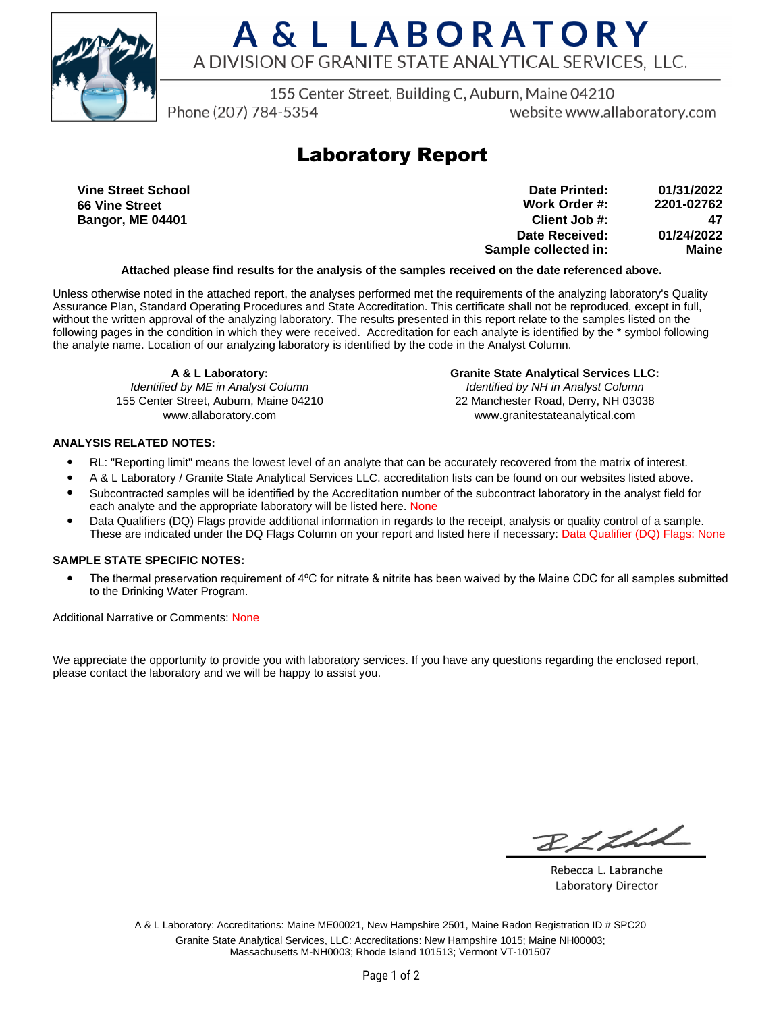

# A & L LABORATORY A DIVISION OF GRANITE STATE ANALYTICAL SERVICES, LLC.

155 Center Street, Building C, Auburn, Maine 04210

Phone (207) 784-5354

website www.allaboratory.com

## **Laboratory Report**

**Vine Street School 66 Vine Street Bangor, ME 04401**

**Work Order #: Client Job #: Date Received: Sample collected in: 2201-02762 47 01/24/2022 Maine Date Printed: 01/31/2022**

### **Attached please find results for the analysis of the samples received on the date referenced above.**

Unless otherwise noted in the attached report, the analyses performed met the requirements of the analyzing laboratory's Quality Assurance Plan, Standard Operating Procedures and State Accreditation. This certificate shall not be reproduced, except in full, without the written approval of the analyzing laboratory. The results presented in this report relate to the samples listed on the following pages in the condition in which they were received. Accreditation for each analyte is identified by the \* symbol following the analyte name. Location of our analyzing laboratory is identified by the code in the Analyst Column.

**A & L Laboratory:** Identified by ME in Analyst Column 155 Center Street, Auburn, Maine 04210 www.allaboratory.com

**Granite State Analytical Services LLC:** Identified by NH in Analyst Column 22 Manchester Road, Derry, NH 03038 www.granitestateanalytical.com

### **ANALYSIS RELATED NOTES:**

- RL: "Reporting limit" means the lowest level of an analyte that can be accurately recovered from the matrix of interest.
- A & L Laboratory / Granite State Analytical Services LLC. accreditation lists can be found on our websites listed above.
- Subcontracted samples will be identified by the Accreditation number of the subcontract laboratory in the analyst field for each analyte and the appropriate laboratory will be listed here. None
- Data Qualifiers (DQ) Flags provide additional information in regards to the receipt, analysis or quality control of a sample. These are indicated under the DQ Flags Column on your report and listed here if necessary: Data Qualifier (DQ) Flags: None

### **SAMPLE STATE SPECIFIC NOTES:**

• The thermal preservation requirement of 4°C for nitrate & nitrite has been waived by the Maine CDC for all samples submitted to the Drinking Water Program.

Additional Narrative or Comments: None

We appreciate the opportunity to provide you with laboratory services. If you have any questions regarding the enclosed report, please contact the laboratory and we will be happy to assist you.

RICHL

Rebecca L. Labranche Laboratory Director

A & L Laboratory: Accreditations: Maine ME00021, New Hampshire 2501, Maine Radon Registration ID # SPC20 Granite State Analytical Services, LLC: Accreditations: New Hampshire 1015; Maine NH00003; Massachusetts M-NH0003; Rhode Island 101513; Vermont VT-101507